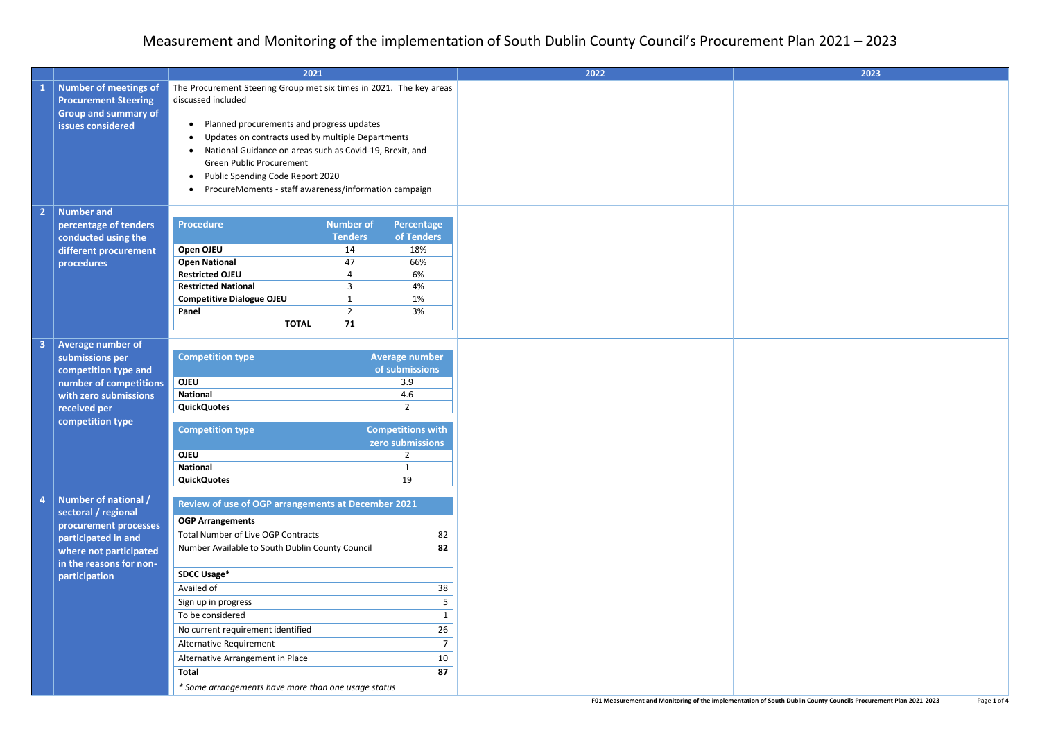| <b>Number of meetings of</b><br>The Procurement Steering Group met six times in 2021. The key areas<br>$\mathbf{1}$<br>discussed included<br><b>Procurement Steering</b><br><b>Group and summary of</b><br>Planned procurements and progress updates<br>issues considered<br>$\bullet$<br>Updates on contracts used by multiple Departments<br>National Guidance on areas such as Covid-19, Brexit, and<br>Green Public Procurement<br>Public Spending Code Report 2020<br>ProcureMoments - staff awareness/information campaign<br><b>Number and</b><br>$\overline{2}$<br><b>Procedure</b><br><b>Number of</b><br>Percentage<br>percentage of tenders<br>of Tenders<br><b>Tenders</b><br>conducted using the<br>Open OJEU<br>18%<br>different procurement<br>14<br><b>Open National</b><br>47<br>66%<br>procedures<br><b>Restricted OJEU</b><br>6%<br>4<br><b>Restricted National</b><br>3<br>4%<br><b>Competitive Dialogue OJEU</b><br>1%<br>1<br>Panel<br>3%<br>$\overline{2}$<br><b>TOTAL</b><br>71<br><b>Average number of</b><br>$\overline{\mathbf{3}}$<br><b>Competition type</b><br><b>Average number</b><br>submissions per<br>of submissions<br>competition type and<br><b>OJEU</b><br>number of competitions<br>3.9<br><b>National</b><br>4.6<br>with zero submissions<br><b>QuickQuotes</b><br>$\overline{2}$<br>received per<br>competition type<br><b>Competitions with</b><br><b>Competition type</b><br>zero submissions<br><b>OJEU</b><br>$\overline{2}$<br><b>National</b><br>19<br><b>QuickQuotes</b><br>Number of national /<br>$\overline{a}$<br>Review of use of OGP arrangements at December 2021<br>sectoral / regional<br><b>OGP Arrangements</b><br>procurement processes<br><b>Total Number of Live OGP Contracts</b><br>82<br>participated in and<br>Number Available to South Dublin County Council<br>82<br>where not participated<br>in the reasons for non-<br><b>SDCC Usage*</b><br>participation<br>Availed of<br>38<br>Sign up in progress<br>5<br>To be considered<br>1<br>26<br>No current requirement identified<br>Alternative Requirement<br>$\overline{7}$<br>Alternative Arrangement in Place<br>10<br>87<br><b>Total</b><br>* Some arrangements have more than one usage status |  | 2021 |  |  | 2022 | 2023 |
|-----------------------------------------------------------------------------------------------------------------------------------------------------------------------------------------------------------------------------------------------------------------------------------------------------------------------------------------------------------------------------------------------------------------------------------------------------------------------------------------------------------------------------------------------------------------------------------------------------------------------------------------------------------------------------------------------------------------------------------------------------------------------------------------------------------------------------------------------------------------------------------------------------------------------------------------------------------------------------------------------------------------------------------------------------------------------------------------------------------------------------------------------------------------------------------------------------------------------------------------------------------------------------------------------------------------------------------------------------------------------------------------------------------------------------------------------------------------------------------------------------------------------------------------------------------------------------------------------------------------------------------------------------------------------------------------------------------------------------------------------------------------------------------------------------------------------------------------------------------------------------------------------------------------------------------------------------------------------------------------------------------------------------------------------------------------------------------------------------------------------------------------------------------------------------------------------------------------------------|--|------|--|--|------|------|
|                                                                                                                                                                                                                                                                                                                                                                                                                                                                                                                                                                                                                                                                                                                                                                                                                                                                                                                                                                                                                                                                                                                                                                                                                                                                                                                                                                                                                                                                                                                                                                                                                                                                                                                                                                                                                                                                                                                                                                                                                                                                                                                                                                                                                             |  |      |  |  |      |      |
|                                                                                                                                                                                                                                                                                                                                                                                                                                                                                                                                                                                                                                                                                                                                                                                                                                                                                                                                                                                                                                                                                                                                                                                                                                                                                                                                                                                                                                                                                                                                                                                                                                                                                                                                                                                                                                                                                                                                                                                                                                                                                                                                                                                                                             |  |      |  |  |      |      |
|                                                                                                                                                                                                                                                                                                                                                                                                                                                                                                                                                                                                                                                                                                                                                                                                                                                                                                                                                                                                                                                                                                                                                                                                                                                                                                                                                                                                                                                                                                                                                                                                                                                                                                                                                                                                                                                                                                                                                                                                                                                                                                                                                                                                                             |  |      |  |  |      |      |
|                                                                                                                                                                                                                                                                                                                                                                                                                                                                                                                                                                                                                                                                                                                                                                                                                                                                                                                                                                                                                                                                                                                                                                                                                                                                                                                                                                                                                                                                                                                                                                                                                                                                                                                                                                                                                                                                                                                                                                                                                                                                                                                                                                                                                             |  |      |  |  |      |      |
|                                                                                                                                                                                                                                                                                                                                                                                                                                                                                                                                                                                                                                                                                                                                                                                                                                                                                                                                                                                                                                                                                                                                                                                                                                                                                                                                                                                                                                                                                                                                                                                                                                                                                                                                                                                                                                                                                                                                                                                                                                                                                                                                                                                                                             |  |      |  |  |      |      |
|                                                                                                                                                                                                                                                                                                                                                                                                                                                                                                                                                                                                                                                                                                                                                                                                                                                                                                                                                                                                                                                                                                                                                                                                                                                                                                                                                                                                                                                                                                                                                                                                                                                                                                                                                                                                                                                                                                                                                                                                                                                                                                                                                                                                                             |  |      |  |  |      |      |
|                                                                                                                                                                                                                                                                                                                                                                                                                                                                                                                                                                                                                                                                                                                                                                                                                                                                                                                                                                                                                                                                                                                                                                                                                                                                                                                                                                                                                                                                                                                                                                                                                                                                                                                                                                                                                                                                                                                                                                                                                                                                                                                                                                                                                             |  |      |  |  |      |      |
|                                                                                                                                                                                                                                                                                                                                                                                                                                                                                                                                                                                                                                                                                                                                                                                                                                                                                                                                                                                                                                                                                                                                                                                                                                                                                                                                                                                                                                                                                                                                                                                                                                                                                                                                                                                                                                                                                                                                                                                                                                                                                                                                                                                                                             |  |      |  |  |      |      |
|                                                                                                                                                                                                                                                                                                                                                                                                                                                                                                                                                                                                                                                                                                                                                                                                                                                                                                                                                                                                                                                                                                                                                                                                                                                                                                                                                                                                                                                                                                                                                                                                                                                                                                                                                                                                                                                                                                                                                                                                                                                                                                                                                                                                                             |  |      |  |  |      |      |
|                                                                                                                                                                                                                                                                                                                                                                                                                                                                                                                                                                                                                                                                                                                                                                                                                                                                                                                                                                                                                                                                                                                                                                                                                                                                                                                                                                                                                                                                                                                                                                                                                                                                                                                                                                                                                                                                                                                                                                                                                                                                                                                                                                                                                             |  |      |  |  |      |      |
|                                                                                                                                                                                                                                                                                                                                                                                                                                                                                                                                                                                                                                                                                                                                                                                                                                                                                                                                                                                                                                                                                                                                                                                                                                                                                                                                                                                                                                                                                                                                                                                                                                                                                                                                                                                                                                                                                                                                                                                                                                                                                                                                                                                                                             |  |      |  |  |      |      |
|                                                                                                                                                                                                                                                                                                                                                                                                                                                                                                                                                                                                                                                                                                                                                                                                                                                                                                                                                                                                                                                                                                                                                                                                                                                                                                                                                                                                                                                                                                                                                                                                                                                                                                                                                                                                                                                                                                                                                                                                                                                                                                                                                                                                                             |  |      |  |  |      |      |
|                                                                                                                                                                                                                                                                                                                                                                                                                                                                                                                                                                                                                                                                                                                                                                                                                                                                                                                                                                                                                                                                                                                                                                                                                                                                                                                                                                                                                                                                                                                                                                                                                                                                                                                                                                                                                                                                                                                                                                                                                                                                                                                                                                                                                             |  |      |  |  |      |      |
|                                                                                                                                                                                                                                                                                                                                                                                                                                                                                                                                                                                                                                                                                                                                                                                                                                                                                                                                                                                                                                                                                                                                                                                                                                                                                                                                                                                                                                                                                                                                                                                                                                                                                                                                                                                                                                                                                                                                                                                                                                                                                                                                                                                                                             |  |      |  |  |      |      |
|                                                                                                                                                                                                                                                                                                                                                                                                                                                                                                                                                                                                                                                                                                                                                                                                                                                                                                                                                                                                                                                                                                                                                                                                                                                                                                                                                                                                                                                                                                                                                                                                                                                                                                                                                                                                                                                                                                                                                                                                                                                                                                                                                                                                                             |  |      |  |  |      |      |
|                                                                                                                                                                                                                                                                                                                                                                                                                                                                                                                                                                                                                                                                                                                                                                                                                                                                                                                                                                                                                                                                                                                                                                                                                                                                                                                                                                                                                                                                                                                                                                                                                                                                                                                                                                                                                                                                                                                                                                                                                                                                                                                                                                                                                             |  |      |  |  |      |      |
|                                                                                                                                                                                                                                                                                                                                                                                                                                                                                                                                                                                                                                                                                                                                                                                                                                                                                                                                                                                                                                                                                                                                                                                                                                                                                                                                                                                                                                                                                                                                                                                                                                                                                                                                                                                                                                                                                                                                                                                                                                                                                                                                                                                                                             |  |      |  |  |      |      |
|                                                                                                                                                                                                                                                                                                                                                                                                                                                                                                                                                                                                                                                                                                                                                                                                                                                                                                                                                                                                                                                                                                                                                                                                                                                                                                                                                                                                                                                                                                                                                                                                                                                                                                                                                                                                                                                                                                                                                                                                                                                                                                                                                                                                                             |  |      |  |  |      |      |
|                                                                                                                                                                                                                                                                                                                                                                                                                                                                                                                                                                                                                                                                                                                                                                                                                                                                                                                                                                                                                                                                                                                                                                                                                                                                                                                                                                                                                                                                                                                                                                                                                                                                                                                                                                                                                                                                                                                                                                                                                                                                                                                                                                                                                             |  |      |  |  |      |      |
|                                                                                                                                                                                                                                                                                                                                                                                                                                                                                                                                                                                                                                                                                                                                                                                                                                                                                                                                                                                                                                                                                                                                                                                                                                                                                                                                                                                                                                                                                                                                                                                                                                                                                                                                                                                                                                                                                                                                                                                                                                                                                                                                                                                                                             |  |      |  |  |      |      |
|                                                                                                                                                                                                                                                                                                                                                                                                                                                                                                                                                                                                                                                                                                                                                                                                                                                                                                                                                                                                                                                                                                                                                                                                                                                                                                                                                                                                                                                                                                                                                                                                                                                                                                                                                                                                                                                                                                                                                                                                                                                                                                                                                                                                                             |  |      |  |  |      |      |
|                                                                                                                                                                                                                                                                                                                                                                                                                                                                                                                                                                                                                                                                                                                                                                                                                                                                                                                                                                                                                                                                                                                                                                                                                                                                                                                                                                                                                                                                                                                                                                                                                                                                                                                                                                                                                                                                                                                                                                                                                                                                                                                                                                                                                             |  |      |  |  |      |      |
|                                                                                                                                                                                                                                                                                                                                                                                                                                                                                                                                                                                                                                                                                                                                                                                                                                                                                                                                                                                                                                                                                                                                                                                                                                                                                                                                                                                                                                                                                                                                                                                                                                                                                                                                                                                                                                                                                                                                                                                                                                                                                                                                                                                                                             |  |      |  |  |      |      |
|                                                                                                                                                                                                                                                                                                                                                                                                                                                                                                                                                                                                                                                                                                                                                                                                                                                                                                                                                                                                                                                                                                                                                                                                                                                                                                                                                                                                                                                                                                                                                                                                                                                                                                                                                                                                                                                                                                                                                                                                                                                                                                                                                                                                                             |  |      |  |  |      |      |
|                                                                                                                                                                                                                                                                                                                                                                                                                                                                                                                                                                                                                                                                                                                                                                                                                                                                                                                                                                                                                                                                                                                                                                                                                                                                                                                                                                                                                                                                                                                                                                                                                                                                                                                                                                                                                                                                                                                                                                                                                                                                                                                                                                                                                             |  |      |  |  |      |      |
|                                                                                                                                                                                                                                                                                                                                                                                                                                                                                                                                                                                                                                                                                                                                                                                                                                                                                                                                                                                                                                                                                                                                                                                                                                                                                                                                                                                                                                                                                                                                                                                                                                                                                                                                                                                                                                                                                                                                                                                                                                                                                                                                                                                                                             |  |      |  |  |      |      |
|                                                                                                                                                                                                                                                                                                                                                                                                                                                                                                                                                                                                                                                                                                                                                                                                                                                                                                                                                                                                                                                                                                                                                                                                                                                                                                                                                                                                                                                                                                                                                                                                                                                                                                                                                                                                                                                                                                                                                                                                                                                                                                                                                                                                                             |  |      |  |  |      |      |
|                                                                                                                                                                                                                                                                                                                                                                                                                                                                                                                                                                                                                                                                                                                                                                                                                                                                                                                                                                                                                                                                                                                                                                                                                                                                                                                                                                                                                                                                                                                                                                                                                                                                                                                                                                                                                                                                                                                                                                                                                                                                                                                                                                                                                             |  |      |  |  |      |      |
|                                                                                                                                                                                                                                                                                                                                                                                                                                                                                                                                                                                                                                                                                                                                                                                                                                                                                                                                                                                                                                                                                                                                                                                                                                                                                                                                                                                                                                                                                                                                                                                                                                                                                                                                                                                                                                                                                                                                                                                                                                                                                                                                                                                                                             |  |      |  |  |      |      |
|                                                                                                                                                                                                                                                                                                                                                                                                                                                                                                                                                                                                                                                                                                                                                                                                                                                                                                                                                                                                                                                                                                                                                                                                                                                                                                                                                                                                                                                                                                                                                                                                                                                                                                                                                                                                                                                                                                                                                                                                                                                                                                                                                                                                                             |  |      |  |  |      |      |
|                                                                                                                                                                                                                                                                                                                                                                                                                                                                                                                                                                                                                                                                                                                                                                                                                                                                                                                                                                                                                                                                                                                                                                                                                                                                                                                                                                                                                                                                                                                                                                                                                                                                                                                                                                                                                                                                                                                                                                                                                                                                                                                                                                                                                             |  |      |  |  |      |      |
|                                                                                                                                                                                                                                                                                                                                                                                                                                                                                                                                                                                                                                                                                                                                                                                                                                                                                                                                                                                                                                                                                                                                                                                                                                                                                                                                                                                                                                                                                                                                                                                                                                                                                                                                                                                                                                                                                                                                                                                                                                                                                                                                                                                                                             |  |      |  |  |      |      |
|                                                                                                                                                                                                                                                                                                                                                                                                                                                                                                                                                                                                                                                                                                                                                                                                                                                                                                                                                                                                                                                                                                                                                                                                                                                                                                                                                                                                                                                                                                                                                                                                                                                                                                                                                                                                                                                                                                                                                                                                                                                                                                                                                                                                                             |  |      |  |  |      |      |
|                                                                                                                                                                                                                                                                                                                                                                                                                                                                                                                                                                                                                                                                                                                                                                                                                                                                                                                                                                                                                                                                                                                                                                                                                                                                                                                                                                                                                                                                                                                                                                                                                                                                                                                                                                                                                                                                                                                                                                                                                                                                                                                                                                                                                             |  |      |  |  |      |      |
|                                                                                                                                                                                                                                                                                                                                                                                                                                                                                                                                                                                                                                                                                                                                                                                                                                                                                                                                                                                                                                                                                                                                                                                                                                                                                                                                                                                                                                                                                                                                                                                                                                                                                                                                                                                                                                                                                                                                                                                                                                                                                                                                                                                                                             |  |      |  |  |      |      |
|                                                                                                                                                                                                                                                                                                                                                                                                                                                                                                                                                                                                                                                                                                                                                                                                                                                                                                                                                                                                                                                                                                                                                                                                                                                                                                                                                                                                                                                                                                                                                                                                                                                                                                                                                                                                                                                                                                                                                                                                                                                                                                                                                                                                                             |  |      |  |  |      |      |
|                                                                                                                                                                                                                                                                                                                                                                                                                                                                                                                                                                                                                                                                                                                                                                                                                                                                                                                                                                                                                                                                                                                                                                                                                                                                                                                                                                                                                                                                                                                                                                                                                                                                                                                                                                                                                                                                                                                                                                                                                                                                                                                                                                                                                             |  |      |  |  |      |      |
|                                                                                                                                                                                                                                                                                                                                                                                                                                                                                                                                                                                                                                                                                                                                                                                                                                                                                                                                                                                                                                                                                                                                                                                                                                                                                                                                                                                                                                                                                                                                                                                                                                                                                                                                                                                                                                                                                                                                                                                                                                                                                                                                                                                                                             |  |      |  |  |      |      |
|                                                                                                                                                                                                                                                                                                                                                                                                                                                                                                                                                                                                                                                                                                                                                                                                                                                                                                                                                                                                                                                                                                                                                                                                                                                                                                                                                                                                                                                                                                                                                                                                                                                                                                                                                                                                                                                                                                                                                                                                                                                                                                                                                                                                                             |  |      |  |  |      |      |
|                                                                                                                                                                                                                                                                                                                                                                                                                                                                                                                                                                                                                                                                                                                                                                                                                                                                                                                                                                                                                                                                                                                                                                                                                                                                                                                                                                                                                                                                                                                                                                                                                                                                                                                                                                                                                                                                                                                                                                                                                                                                                                                                                                                                                             |  |      |  |  |      |      |
|                                                                                                                                                                                                                                                                                                                                                                                                                                                                                                                                                                                                                                                                                                                                                                                                                                                                                                                                                                                                                                                                                                                                                                                                                                                                                                                                                                                                                                                                                                                                                                                                                                                                                                                                                                                                                                                                                                                                                                                                                                                                                                                                                                                                                             |  |      |  |  |      |      |
|                                                                                                                                                                                                                                                                                                                                                                                                                                                                                                                                                                                                                                                                                                                                                                                                                                                                                                                                                                                                                                                                                                                                                                                                                                                                                                                                                                                                                                                                                                                                                                                                                                                                                                                                                                                                                                                                                                                                                                                                                                                                                                                                                                                                                             |  |      |  |  |      |      |
|                                                                                                                                                                                                                                                                                                                                                                                                                                                                                                                                                                                                                                                                                                                                                                                                                                                                                                                                                                                                                                                                                                                                                                                                                                                                                                                                                                                                                                                                                                                                                                                                                                                                                                                                                                                                                                                                                                                                                                                                                                                                                                                                                                                                                             |  |      |  |  |      |      |
|                                                                                                                                                                                                                                                                                                                                                                                                                                                                                                                                                                                                                                                                                                                                                                                                                                                                                                                                                                                                                                                                                                                                                                                                                                                                                                                                                                                                                                                                                                                                                                                                                                                                                                                                                                                                                                                                                                                                                                                                                                                                                                                                                                                                                             |  |      |  |  |      |      |
|                                                                                                                                                                                                                                                                                                                                                                                                                                                                                                                                                                                                                                                                                                                                                                                                                                                                                                                                                                                                                                                                                                                                                                                                                                                                                                                                                                                                                                                                                                                                                                                                                                                                                                                                                                                                                                                                                                                                                                                                                                                                                                                                                                                                                             |  |      |  |  |      |      |
|                                                                                                                                                                                                                                                                                                                                                                                                                                                                                                                                                                                                                                                                                                                                                                                                                                                                                                                                                                                                                                                                                                                                                                                                                                                                                                                                                                                                                                                                                                                                                                                                                                                                                                                                                                                                                                                                                                                                                                                                                                                                                                                                                                                                                             |  |      |  |  |      |      |
| E01 Measurement and Monitoring of the implementation of South Dublin County Councils Procurer                                                                                                                                                                                                                                                                                                                                                                                                                                                                                                                                                                                                                                                                                                                                                                                                                                                                                                                                                                                                                                                                                                                                                                                                                                                                                                                                                                                                                                                                                                                                                                                                                                                                                                                                                                                                                                                                                                                                                                                                                                                                                                                               |  |      |  |  |      |      |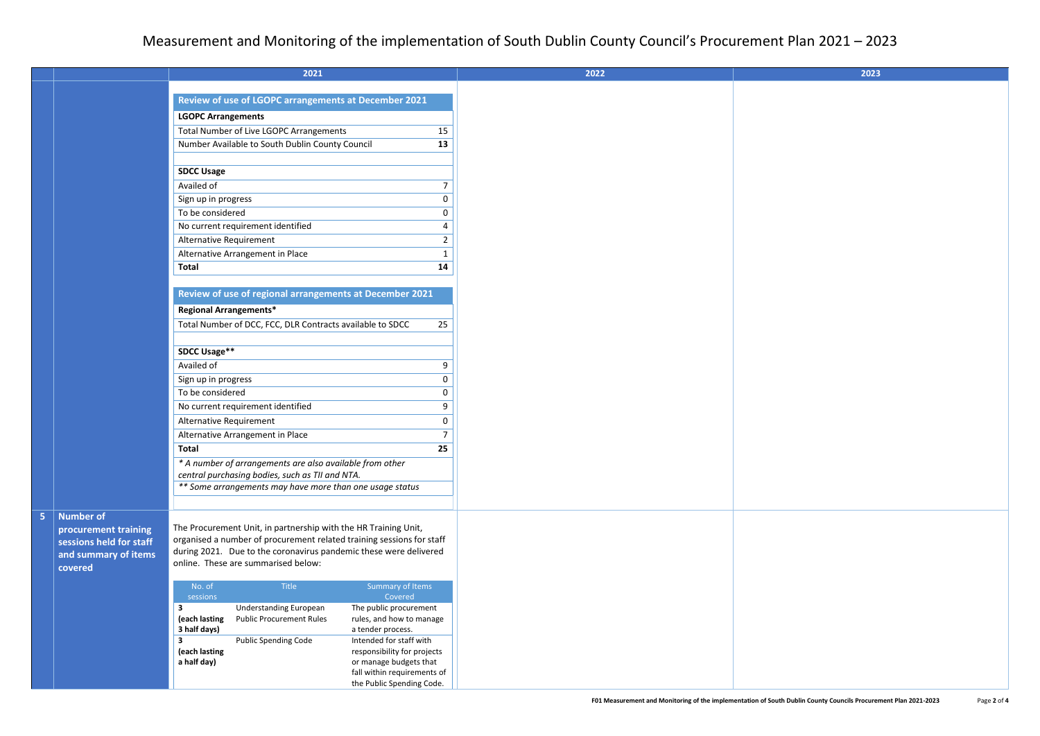|                                          | 2021                                                                  |                                                       | 2022                                                                                          |
|------------------------------------------|-----------------------------------------------------------------------|-------------------------------------------------------|-----------------------------------------------------------------------------------------------|
|                                          |                                                                       |                                                       |                                                                                               |
|                                          | Review of use of LGOPC arrangements at December 2021                  |                                                       |                                                                                               |
|                                          | <b>LGOPC Arrangements</b>                                             |                                                       |                                                                                               |
|                                          | Total Number of Live LGOPC Arrangements                               | 15                                                    |                                                                                               |
|                                          | Number Available to South Dublin County Council                       | 13                                                    |                                                                                               |
|                                          |                                                                       |                                                       |                                                                                               |
|                                          | <b>SDCC Usage</b>                                                     | 7                                                     |                                                                                               |
|                                          | Availed of                                                            | <sup>0</sup>                                          |                                                                                               |
|                                          | Sign up in progress<br>To be considered                               | 0                                                     |                                                                                               |
|                                          | No current requirement identified                                     |                                                       |                                                                                               |
|                                          | Alternative Requirement                                               | $\overline{2}$                                        |                                                                                               |
|                                          | Alternative Arrangement in Place                                      | -1                                                    |                                                                                               |
|                                          | <b>Total</b>                                                          | 14                                                    |                                                                                               |
|                                          |                                                                       |                                                       |                                                                                               |
|                                          | Review of use of regional arrangements at December 2021               |                                                       |                                                                                               |
|                                          | <b>Regional Arrangements*</b>                                         |                                                       |                                                                                               |
|                                          | Total Number of DCC, FCC, DLR Contracts available to SDCC             | 25                                                    |                                                                                               |
|                                          |                                                                       |                                                       |                                                                                               |
|                                          | <b>SDCC Usage**</b>                                                   |                                                       |                                                                                               |
|                                          | Availed of                                                            | 9                                                     |                                                                                               |
|                                          | Sign up in progress                                                   | 0                                                     |                                                                                               |
|                                          | To be considered                                                      | 0                                                     |                                                                                               |
|                                          | No current requirement identified                                     | 9                                                     |                                                                                               |
|                                          | Alternative Requirement                                               |                                                       |                                                                                               |
|                                          | Alternative Arrangement in Place                                      |                                                       |                                                                                               |
|                                          | <b>Total</b>                                                          | 25                                                    |                                                                                               |
|                                          | * A number of arrangements are also available from other              |                                                       |                                                                                               |
|                                          | central purchasing bodies, such as TII and NTA.                       |                                                       |                                                                                               |
|                                          | ** Some arrangements may have more than one usage status              |                                                       |                                                                                               |
|                                          |                                                                       |                                                       |                                                                                               |
| <b>Number of</b><br>procurement training | The Procurement Unit, in partnership with the HR Training Unit,       |                                                       |                                                                                               |
| sessions held for staff                  | organised a number of procurement related training sessions for staff |                                                       |                                                                                               |
| and summary of items                     | during 2021. Due to the coronavirus pandemic these were delivered     |                                                       |                                                                                               |
| covered                                  | online. These are summarised below:                                   |                                                       |                                                                                               |
|                                          | No. of<br>Title                                                       | Summary of Items                                      |                                                                                               |
|                                          | sessions                                                              | Covered                                               |                                                                                               |
|                                          | $\mathbf{3}$<br><b>Understanding European</b>                         | The public procurement                                |                                                                                               |
|                                          | <b>Public Procurement Rules</b><br>(each lasting<br>3 half days)      | rules, and how to manage<br>a tender process.         |                                                                                               |
|                                          | <b>Public Spending Code</b><br>3                                      | Intended for staff with                               |                                                                                               |
|                                          | (each lasting                                                         | responsibility for projects                           |                                                                                               |
|                                          | a half day)                                                           | or manage budgets that<br>fall within requirements of |                                                                                               |
|                                          |                                                                       | the Public Spending Code.                             |                                                                                               |
|                                          |                                                                       |                                                       | F01 Measurement and Monitoring of the implementation of South Dublin County Councils Procurer |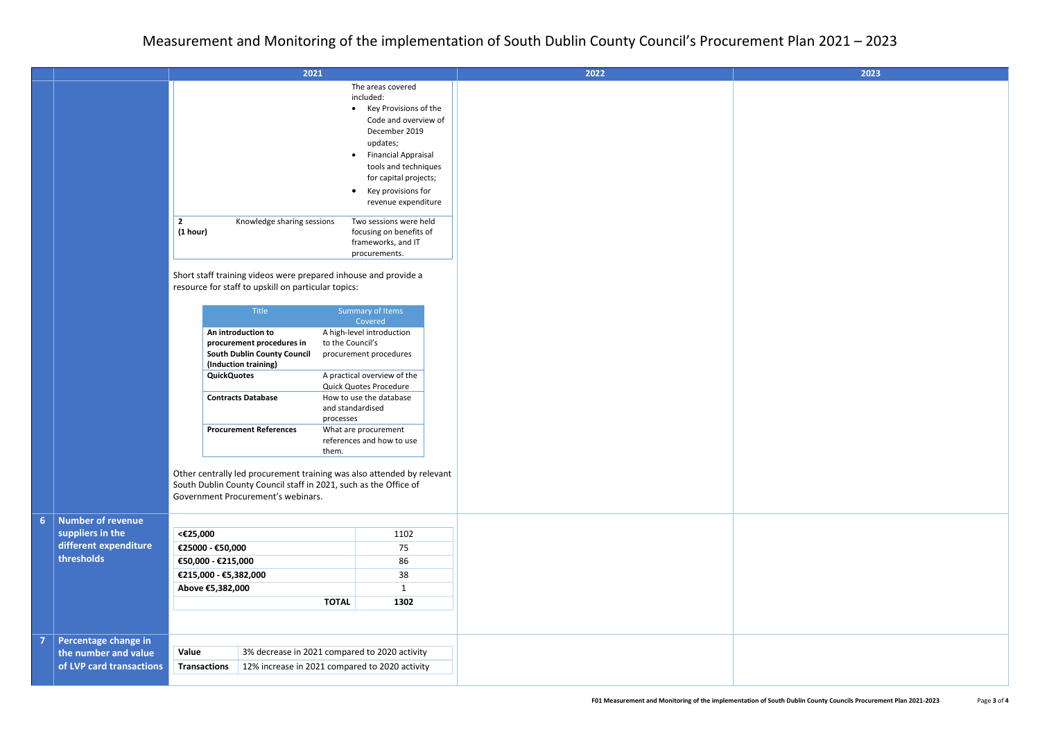|                  |                                                                                | 2021<br>The areas covered<br>included:<br>• Key Provisions of the<br>Code and overview of<br>December 2019<br>updates;<br><b>Financial Appraisal</b><br>$\bullet$<br>tools and techniques<br>for capital projects;<br>Key provisions for<br>$\bullet$<br>revenue expenditure<br>$\overline{2}$<br>Knowledge sharing sessions<br>Two sessions were held |                                                                                                                                                                                                                                                                                                                                                                  |      |            |  |
|------------------|--------------------------------------------------------------------------------|--------------------------------------------------------------------------------------------------------------------------------------------------------------------------------------------------------------------------------------------------------------------------------------------------------------------------------------------------------|------------------------------------------------------------------------------------------------------------------------------------------------------------------------------------------------------------------------------------------------------------------------------------------------------------------------------------------------------------------|------|------------|--|
|                  |                                                                                | (1 hour)<br>focusing on benefits of<br>frameworks, and IT<br>procurements.<br>Short staff training videos were prepared inhouse and provide a<br>resource for staff to upskill on particular topics:<br>Title<br>Summary of Items<br>Covered                                                                                                           |                                                                                                                                                                                                                                                                                                                                                                  |      |            |  |
|                  |                                                                                |                                                                                                                                                                                                                                                                                                                                                        | An introduction to<br>A high-level introduction<br>procurement procedures in<br>to the Council's<br><b>South Dublin County Council</b><br>procurement procedures<br>(Induction training)<br>A practical overview of the<br><b>QuickQuotes</b><br>Quick Quotes Procedure<br><b>Contracts Database</b><br>How to use the database<br>and standardised<br>processes |      |            |  |
|                  |                                                                                | <b>Procurement References</b><br>What are procurement<br>references and how to use<br>them.<br>Other centrally led procurement training was also attended by relevant<br>South Dublin County Council staff in 2021, such as the Office of<br>Government Procurement's webinars.                                                                        |                                                                                                                                                                                                                                                                                                                                                                  |      |            |  |
| 6 <sup>1</sup>   | <b>Number of revenue</b>                                                       |                                                                                                                                                                                                                                                                                                                                                        |                                                                                                                                                                                                                                                                                                                                                                  |      |            |  |
| suppliers in the | different expenditure                                                          | <€25,000<br>€25000 - €50,000<br>€50,000 - €215,000                                                                                                                                                                                                                                                                                                     |                                                                                                                                                                                                                                                                                                                                                                  |      | 1102<br>75 |  |
| thresholds       |                                                                                |                                                                                                                                                                                                                                                                                                                                                        |                                                                                                                                                                                                                                                                                                                                                                  |      | 86         |  |
|                  |                                                                                | €215,000 - €5,382,000                                                                                                                                                                                                                                                                                                                                  |                                                                                                                                                                                                                                                                                                                                                                  |      | 38         |  |
|                  | Above €5,382,000<br>1                                                          |                                                                                                                                                                                                                                                                                                                                                        |                                                                                                                                                                                                                                                                                                                                                                  |      |            |  |
|                  |                                                                                | <b>TOTAL</b>                                                                                                                                                                                                                                                                                                                                           |                                                                                                                                                                                                                                                                                                                                                                  | 1302 |            |  |
| 7                | Percentage change in                                                           |                                                                                                                                                                                                                                                                                                                                                        |                                                                                                                                                                                                                                                                                                                                                                  |      |            |  |
|                  | Value<br>3% decrease in 2021 compared to 2020 activity<br>the number and value |                                                                                                                                                                                                                                                                                                                                                        |                                                                                                                                                                                                                                                                                                                                                                  |      |            |  |
|                  | of LVP card transactions                                                       | <b>Transactions</b>                                                                                                                                                                                                                                                                                                                                    | 12% increase in 2021 compared to 2020 activity                                                                                                                                                                                                                                                                                                                   |      |            |  |
|                  |                                                                                |                                                                                                                                                                                                                                                                                                                                                        |                                                                                                                                                                                                                                                                                                                                                                  |      |            |  |